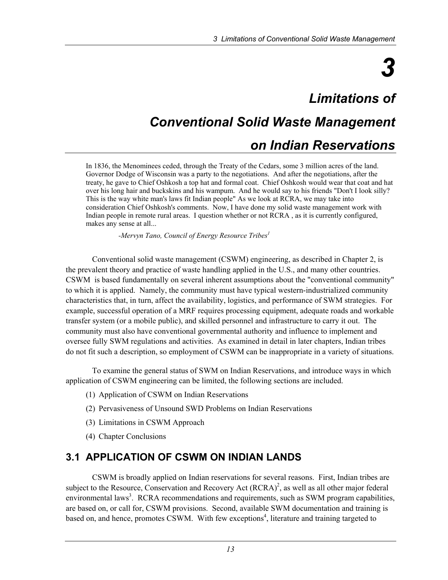# *3*

# *Limitations of*

# *Conventional Solid Waste Management*

# *on Indian Reservations*

In 1836, the Menominees ceded, through the Treaty of the Cedars, some 3 million acres of the land. Governor Dodge of Wisconsin was a party to the negotiations. And after the negotiations, after the treaty, he gave to Chief Oshkosh a top hat and formal coat. Chief Oshkosh would wear that coat and hat over his long hair and buckskins and his wampum. And he would say to his friends "Don't I look silly? This is the way white man's laws fit Indian people" As we look at RCRA, we may take into consideration Chief Oshkosh's comments. Now, I have done my solid waste management work with Indian people in remote rural areas. I question whether or not RCRA , as it is currently configured, makes any sense at all...

 *-Mervyn Tano, Council of Energy Resource Tribes1*

Conventional solid waste management (CSWM) engineering, as described in Chapter 2, is the prevalent theory and practice of waste handling applied in the U.S., and many other countries. CSWM is based fundamentally on several inherent assumptions about the "conventional community" to which it is applied. Namely, the community must have typical western-industrialized community characteristics that, in turn, affect the availability, logistics, and performance of SWM strategies. For example, successful operation of a MRF requires processing equipment, adequate roads and workable transfer system (or a mobile public), and skilled personnel and infrastructure to carry it out. The community must also have conventional governmental authority and influence to implement and oversee fully SWM regulations and activities. As examined in detail in later chapters, Indian tribes do not fit such a description, so employment of CSWM can be inappropriate in a variety of situations.

To examine the general status of SWM on Indian Reservations, and introduce ways in which application of CSWM engineering can be limited, the following sections are included.

- (1) Application of CSWM on Indian Reservations
- (2) Pervasiveness of Unsound SWD Problems on Indian Reservations
- (3) Limitations in CSWM Approach
- (4) Chapter Conclusions

## **3.1 APPLICATION OF CSWM ON INDIAN LANDS**

CSWM is broadly applied on Indian reservations for several reasons. First, Indian tribes are subject to the Resource, Conservation and Recovery Act  $(RCRA)^2$ , as well as all other major federal environmental laws<sup>3</sup>. RCRA recommendations and requirements, such as SWM program capabilities, are based on, or call for, CSWM provisions. Second, available SWM documentation and training is based on, and hence, promotes CSWM. With few exceptions<sup>4</sup>, literature and training targeted to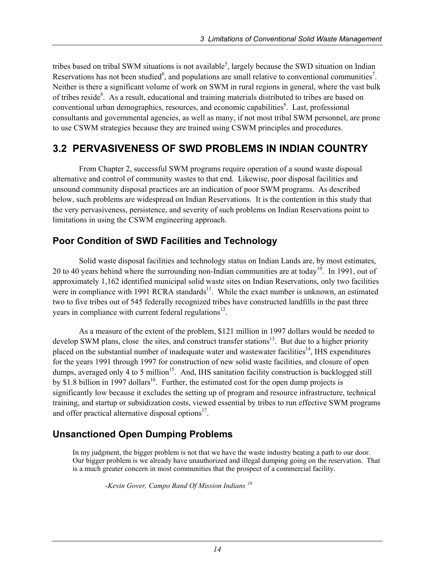tribes based on tribal SWM situations is not available<sup>5</sup>, largely because the SWD situation on Indian Reservations has not been studied<sup>6</sup>, and populations are small relative to conventional communities<sup>7</sup>. Neither is there a significant volume of work on SWM in rural regions in general, where the vast bulk of tribes reside<sup>8</sup>. As a result, educational and training materials distributed to tribes are based on conventional urban demographics, resources, and economic capabilities<sup>9</sup>. Last, professional consultants and governmental agencies, as well as many, if not most tribal SWM personnel, are prone to use CSWM strategies because they are trained using CSWM principles and procedures.

# **3.2 PERVASIVENESS OF SWD PROBLEMS IN INDIAN COUNTRY**

From Chapter 2, successful SWM programs require operation of a sound waste disposal alternative and control of community wastes to that end. Likewise, poor disposal facilities and unsound community disposal practices are an indication of poor SWM programs. As described below, such problems are widespread on Indian Reservations. It is the contention in this study that the very pervasiveness, persistence, and severity of such problems on Indian Reservations point to limitations in using the CSWM engineering approach.

# **Poor Condition of SWD Facilities and Technology**

Solid waste disposal facilities and technology status on Indian Lands are, by most estimates, 20 to 40 years behind where the surrounding non-Indian communities are at today<sup>10</sup>. In 1991, out of approximately 1,162 identified municipal solid waste sites on Indian Reservations, only two facilities were in compliance with 1991 RCRA standards $^{11}$ . While the exact number is unknown, an estimated two to five tribes out of 545 federally recognized tribes have constructed landfills in the past three years in compliance with current federal regulations<sup>12</sup>.

As a measure of the extent of the problem, \$121 million in 1997 dollars would be needed to develop SWM plans, close the sites, and construct transfer stations<sup>13</sup>. But due to a higher priority placed on the substantial number of inadequate water and wastewater facilities<sup>14</sup>. IHS expenditures for the years 1991 through 1997 for construction of new solid waste facilities, and closure of open dumps, averaged only 4 to 5 million<sup>15</sup>. And, IHS sanitation facility construction is backlogged still by \$1.8 billion in 1997 dollars<sup>16</sup>. Further, the estimated cost for the open dump projects is significantly low because it excludes the setting up of program and resource infrastructure, technical training, and startup or subsidization costs, viewed essential by tribes to run effective SWM programs and offer practical alternative disposal options $17$ .

# **Unsanctioned Open Dumping Problems**

In my judgment, the bigger problem is not that we have the waste industry beating a path to our door. Our bigger problem is we already have unauthorized and illegal dumping going on the reservation. That is a much greater concern in most communities that the prospect of a commercial facility.

 *-Kevin Gover, Campo Band Of Mission Indians <sup>18</sup>*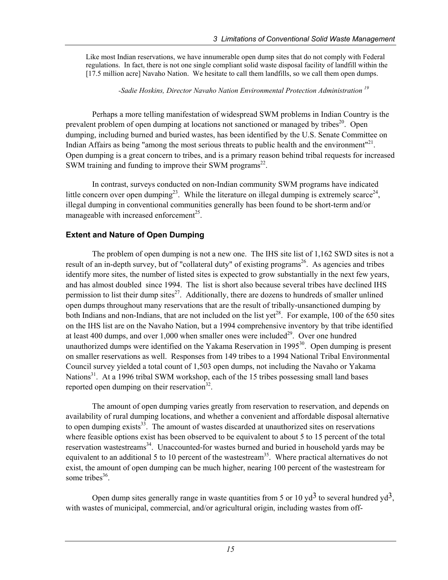Like most Indian reservations, we have innumerable open dump sites that do not comply with Federal regulations. In fact, there is not one single compliant solid waste disposal facility of landfill within the [17.5 million acre] Navaho Nation. We hesitate to call them landfills, so we call them open dumps.

 *-Sadie Hoskins, Director Navaho Nation Environmental Protection Administration 19* 

Perhaps a more telling manifestation of widespread SWM problems in Indian Country is the prevalent problem of open dumping at locations not sanctioned or managed by tribes<sup>20</sup>. Open dumping, including burned and buried wastes, has been identified by the U.S. Senate Committee on Indian Affairs as being "among the most serious threats to public health and the environment"<sup>21</sup>. Open dumping is a great concern to tribes, and is a primary reason behind tribal requests for increased SWM training and funding to improve their SWM programs<sup>22</sup>.

In contrast, surveys conducted on non-Indian community SWM programs have indicated little concern over open dumping<sup>23</sup>. While the literature on illegal dumping is extremely scarce<sup>24</sup>, illegal dumping in conventional communities generally has been found to be short-term and/or manageable with increased enforcement<sup>25</sup>.

#### **Extent and Nature of Open Dumping**

The problem of open dumping is not a new one. The IHS site list of 1,162 SWD sites is not a result of an in-depth survey, but of "collateral duty" of existing programs<sup>26</sup>. As agencies and tribes identify more sites, the number of listed sites is expected to grow substantially in the next few years, and has almost doubled since 1994. The list is short also because several tribes have declined IHS permission to list their dump sites<sup>27</sup>. Additionally, there are dozens to hundreds of smaller unlined open dumps throughout many reservations that are the result of tribally-unsanctioned dumping by both Indians and non-Indians, that are not included on the list yet<sup>28</sup>. For example, 100 of the 650 sites on the IHS list are on the Navaho Nation, but a 1994 comprehensive inventory by that tribe identified at least 400 dumps, and over  $1,000$  when smaller ones were included<sup>29</sup>. Over one hundred unauthorized dumps were identified on the Yakama Reservation in  $1995<sup>30</sup>$ . Open dumping is present on smaller reservations as well. Responses from 149 tribes to a 1994 National Tribal Environmental Council survey yielded a total count of 1,503 open dumps, not including the Navaho or Yakama Nations<sup>31</sup>. At a 1996 tribal SWM workshop, each of the 15 tribes possessing small land bases reported open dumping on their reservation $^{32}$ .

The amount of open dumping varies greatly from reservation to reservation, and depends on availability of rural dumping locations, and whether a convenient and affordable disposal alternative to open dumping exists<sup>33</sup>. The amount of wastes discarded at unauthorized sites on reservations where feasible options exist has been observed to be equivalent to about 5 to 15 percent of the total reservation wastestreams<sup>34</sup>. Unaccounted-for wastes burned and buried in household yards may be equivalent to an additional 5 to 10 percent of the wastestream<sup>35</sup>. Where practical alternatives do not exist, the amount of open dumping can be much higher, nearing 100 percent of the wastestream for some tribes $36$ .

Open dump sites generally range in waste quantities from 5 or 10  $\text{yd}^3$  to several hundred  $\text{yd}^3$ , with wastes of municipal, commercial, and/or agricultural origin, including wastes from off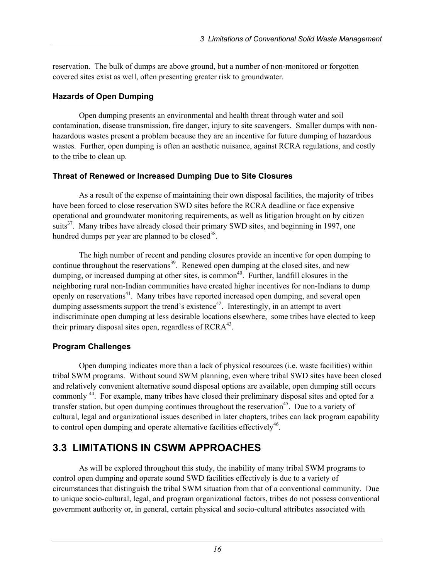reservation. The bulk of dumps are above ground, but a number of non-monitored or forgotten covered sites exist as well, often presenting greater risk to groundwater.

#### **Hazards of Open Dumping**

Open dumping presents an environmental and health threat through water and soil contamination, disease transmission, fire danger, injury to site scavengers. Smaller dumps with nonhazardous wastes present a problem because they are an incentive for future dumping of hazardous wastes. Further, open dumping is often an aesthetic nuisance, against RCRA regulations, and costly to the tribe to clean up.

#### **Threat of Renewed or Increased Dumping Due to Site Closures**

As a result of the expense of maintaining their own disposal facilities, the majority of tribes have been forced to close reservation SWD sites before the RCRA deadline or face expensive operational and groundwater monitoring requirements, as well as litigation brought on by citizen suits $37$ . Many tribes have already closed their primary SWD sites, and beginning in 1997, one hundred dumps per year are planned to be closed<sup>38</sup>.

The high number of recent and pending closures provide an incentive for open dumping to continue throughout the reservations<sup>39</sup>. Renewed open dumping at the closed sites, and new dumping, or increased dumping at other sites, is common<sup>40</sup>. Further, landfill closures in the neighboring rural non-Indian communities have created higher incentives for non-Indians to dump openly on reservations<sup>41</sup>. Many tribes have reported increased open dumping, and several open dumping assessments support the trend's existence<sup>42</sup>. Interestingly, in an attempt to avert indiscriminate open dumping at less desirable locations elsewhere, some tribes have elected to keep their primary disposal sites open, regardless of  $RCRA<sup>43</sup>$ .

#### **Program Challenges**

Open dumping indicates more than a lack of physical resources (i.e. waste facilities) within tribal SWM programs. Without sound SWM planning, even where tribal SWD sites have been closed and relatively convenient alternative sound disposal options are available, open dumping still occurs commonly 44. For example, many tribes have closed their preliminary disposal sites and opted for a transfer station, but open dumping continues throughout the reservation<sup>45</sup>. Due to a variety of cultural, legal and organizational issues described in later chapters, tribes can lack program capability to control open dumping and operate alternative facilities effectively<sup>46</sup>.

# **3.3 LIMITATIONS IN CSWM APPROACHES**

As will be explored throughout this study, the inability of many tribal SWM programs to control open dumping and operate sound SWD facilities effectively is due to a variety of circumstances that distinguish the tribal SWM situation from that of a conventional community. Due to unique socio-cultural, legal, and program organizational factors, tribes do not possess conventional government authority or, in general, certain physical and socio-cultural attributes associated with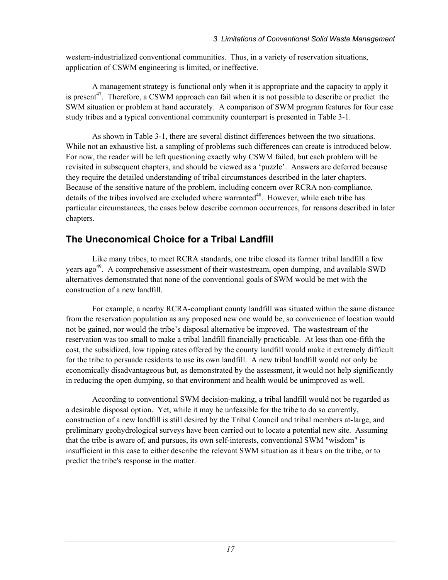western-industrialized conventional communities. Thus, in a variety of reservation situations, application of CSWM engineering is limited, or ineffective.

A management strategy is functional only when it is appropriate and the capacity to apply it is present<sup>47</sup>. Therefore, a CSWM approach can fail when it is not possible to describe or predict the SWM situation or problem at hand accurately. A comparison of SWM program features for four case study tribes and a typical conventional community counterpart is presented in Table 3-1.

As shown in Table 3-1, there are several distinct differences between the two situations. While not an exhaustive list, a sampling of problems such differences can create is introduced below. For now, the reader will be left questioning exactly why CSWM failed, but each problem will be revisited in subsequent chapters, and should be viewed as a 'puzzle'. Answers are deferred because they require the detailed understanding of tribal circumstances described in the later chapters. Because of the sensitive nature of the problem, including concern over RCRA non-compliance, details of the tribes involved are excluded where warranted<sup>48</sup>. However, while each tribe has particular circumstances, the cases below describe common occurrences, for reasons described in later chapters.

# **The Uneconomical Choice for a Tribal Landfill**

Like many tribes, to meet RCRA standards, one tribe closed its former tribal landfill a few vears ago<sup>49</sup>. A comprehensive assessment of their wastestream, open dumping, and available SWD alternatives demonstrated that none of the conventional goals of SWM would be met with the construction of a new landfill.

For example, a nearby RCRA-compliant county landfill was situated within the same distance from the reservation population as any proposed new one would be, so convenience of location would not be gained, nor would the tribe's disposal alternative be improved. The wastestream of the reservation was too small to make a tribal landfill financially practicable. At less than one-fifth the cost, the subsidized, low tipping rates offered by the county landfill would make it extremely difficult for the tribe to persuade residents to use its own landfill. A new tribal landfill would not only be economically disadvantageous but, as demonstrated by the assessment, it would not help significantly in reducing the open dumping, so that environment and health would be unimproved as well.

According to conventional SWM decision-making, a tribal landfill would not be regarded as a desirable disposal option. Yet, while it may be unfeasible for the tribe to do so currently, construction of a new landfill is still desired by the Tribal Council and tribal members at-large, and preliminary geohydrological surveys have been carried out to locate a potential new site. Assuming that the tribe is aware of, and pursues, its own self-interests, conventional SWM "wisdom" is insufficient in this case to either describe the relevant SWM situation as it bears on the tribe, or to predict the tribe's response in the matter.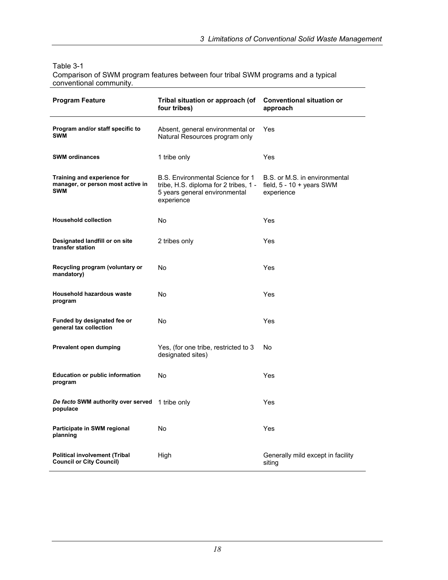Table 3-1 Comparison of SWM program features between four tribal SWM programs and a typical conventional community.

| <b>Program Feature</b>                                                         | Tribal situation or approach (of<br>four tribes)                                                                         | <b>Conventional situation or</b><br>approach                                      |
|--------------------------------------------------------------------------------|--------------------------------------------------------------------------------------------------------------------------|-----------------------------------------------------------------------------------|
| Program and/or staff specific to<br><b>SWM</b>                                 | Absent, general environmental or<br>Natural Resources program only                                                       | Yes                                                                               |
| <b>SWM ordinances</b>                                                          | 1 tribe only                                                                                                             | Yes                                                                               |
| Training and experience for<br>manager, or person most active in<br><b>SWM</b> | B.S. Environmental Science for 1<br>tribe, H.S. diploma for 2 tribes, 1 -<br>5 years general environmental<br>experience | B.S. or M.S. in environmental<br>field, $5 - 10 + \text{years}$ SWM<br>experience |
| <b>Household collection</b>                                                    | <b>No</b>                                                                                                                | Yes                                                                               |
| Designated landfill or on site<br>transfer station                             | 2 tribes only                                                                                                            | Yes                                                                               |
| Recycling program (voluntary or<br>mandatory)                                  | <b>No</b>                                                                                                                | Yes                                                                               |
| <b>Household hazardous waste</b><br>program                                    | <b>No</b>                                                                                                                | Yes                                                                               |
| Funded by designated fee or<br>general tax collection                          | No                                                                                                                       | Yes                                                                               |
| Prevalent open dumping                                                         | Yes, (for one tribe, restricted to 3<br>designated sites)                                                                | No                                                                                |
| <b>Education or public information</b><br>program                              | No                                                                                                                       | Yes                                                                               |
| De facto SWM authority over served<br>populace                                 | 1 tribe only                                                                                                             | Yes                                                                               |
| Participate in SWM regional<br>planning                                        | No                                                                                                                       | Yes                                                                               |
| <b>Political involvement (Tribal</b><br><b>Council or City Council)</b>        | High                                                                                                                     | Generally mild except in facility<br>siting                                       |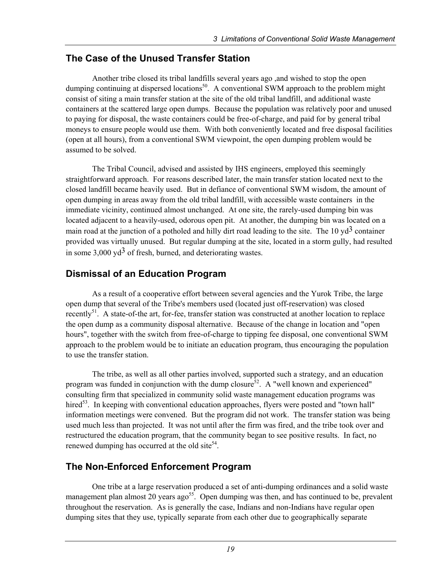## **The Case of the Unused Transfer Station**

Another tribe closed its tribal landfills several years ago ,and wished to stop the open dumping continuing at dispersed locations<sup>50</sup>. A conventional SWM approach to the problem might consist of siting a main transfer station at the site of the old tribal landfill, and additional waste containers at the scattered large open dumps. Because the population was relatively poor and unused to paying for disposal, the waste containers could be free-of-charge, and paid for by general tribal moneys to ensure people would use them. With both conveniently located and free disposal facilities (open at all hours), from a conventional SWM viewpoint, the open dumping problem would be assumed to be solved.

The Tribal Council, advised and assisted by IHS engineers, employed this seemingly straightforward approach. For reasons described later, the main transfer station located next to the closed landfill became heavily used. But in defiance of conventional SWM wisdom, the amount of open dumping in areas away from the old tribal landfill, with accessible waste containers in the immediate vicinity, continued almost unchanged. At one site, the rarely-used dumping bin was located adjacent to a heavily-used, odorous open pit. At another, the dumping bin was located on a main road at the junction of a potholed and hilly dirt road leading to the site. The 10  $\text{yd}^3$  container provided was virtually unused. But regular dumping at the site, located in a storm gully, had resulted in some  $3,000 \text{ vd}^3$  of fresh, burned, and deteriorating wastes.

# **Dismissal of an Education Program**

As a result of a cooperative effort between several agencies and the Yurok Tribe, the large open dump that several of the Tribe's members used (located just off-reservation) was closed recently<sup>51</sup>. A state-of-the art, for-fee, transfer station was constructed at another location to replace the open dump as a community disposal alternative. Because of the change in location and "open hours", together with the switch from free-of-charge to tipping fee disposal, one conventional SWM approach to the problem would be to initiate an education program, thus encouraging the population to use the transfer station.

The tribe, as well as all other parties involved, supported such a strategy, and an education program was funded in conjunction with the dump closure<sup>52</sup>. A "well known and experienced" consulting firm that specialized in community solid waste management education programs was hired<sup>53</sup>. In keeping with conventional education approaches, flyers were posted and "town hall" information meetings were convened. But the program did not work. The transfer station was being used much less than projected. It was not until after the firm was fired, and the tribe took over and restructured the education program, that the community began to see positive results. In fact, no renewed dumping has occurred at the old site<sup>54</sup>.

## **The Non-Enforced Enforcement Program**

One tribe at a large reservation produced a set of anti-dumping ordinances and a solid waste management plan almost 20 years  $a\varrho^{55}$ . Open dumping was then, and has continued to be, prevalent throughout the reservation. As is generally the case, Indians and non-Indians have regular open dumping sites that they use, typically separate from each other due to geographically separate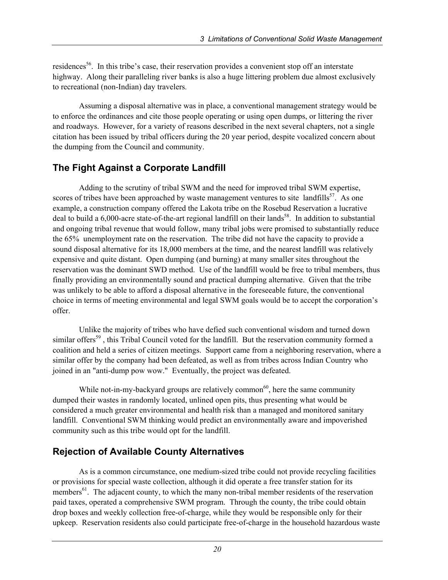residences<sup>56</sup>. In this tribe's case, their reservation provides a convenient stop off an interstate highway. Along their paralleling river banks is also a huge littering problem due almost exclusively to recreational (non-Indian) day travelers.

Assuming a disposal alternative was in place, a conventional management strategy would be to enforce the ordinances and cite those people operating or using open dumps, or littering the river and roadways. However, for a variety of reasons described in the next several chapters, not a single citation has been issued by tribal officers during the 20 year period, despite vocalized concern about the dumping from the Council and community.

# **The Fight Against a Corporate Landfill**

Adding to the scrutiny of tribal SWM and the need for improved tribal SWM expertise, scores of tribes have been approached by waste management ventures to site landfills<sup>57</sup>. As one example, a construction company offered the Lakota tribe on the Rosebud Reservation a lucrative deal to build a  $6,000$ -acre state-of-the-art regional landfill on their lands<sup>58</sup>. In addition to substantial and ongoing tribal revenue that would follow, many tribal jobs were promised to substantially reduce the 65% unemployment rate on the reservation. The tribe did not have the capacity to provide a sound disposal alternative for its 18,000 members at the time, and the nearest landfill was relatively expensive and quite distant. Open dumping (and burning) at many smaller sites throughout the reservation was the dominant SWD method. Use of the landfill would be free to tribal members, thus finally providing an environmentally sound and practical dumping alternative. Given that the tribe was unlikely to be able to afford a disposal alternative in the foreseeable future, the conventional choice in terms of meeting environmental and legal SWM goals would be to accept the corporation's offer.

Unlike the majority of tribes who have defied such conventional wisdom and turned down similar offers<sup>59</sup>, this Tribal Council voted for the landfill. But the reservation community formed a coalition and held a series of citizen meetings. Support came from a neighboring reservation, where a similar offer by the company had been defeated, as well as from tribes across Indian Country who joined in an "anti-dump pow wow." Eventually, the project was defeated.

While not-in-my-backyard groups are relatively common<sup>60</sup>, here the same community dumped their wastes in randomly located, unlined open pits, thus presenting what would be considered a much greater environmental and health risk than a managed and monitored sanitary landfill. Conventional SWM thinking would predict an environmentally aware and impoverished community such as this tribe would opt for the landfill.

## **Rejection of Available County Alternatives**

As is a common circumstance, one medium-sized tribe could not provide recycling facilities or provisions for special waste collection, although it did operate a free transfer station for its members<sup>61</sup>. The adjacent county, to which the many non-tribal member residents of the reservation paid taxes, operated a comprehensive SWM program. Through the county, the tribe could obtain drop boxes and weekly collection free-of-charge, while they would be responsible only for their upkeep. Reservation residents also could participate free-of-charge in the household hazardous waste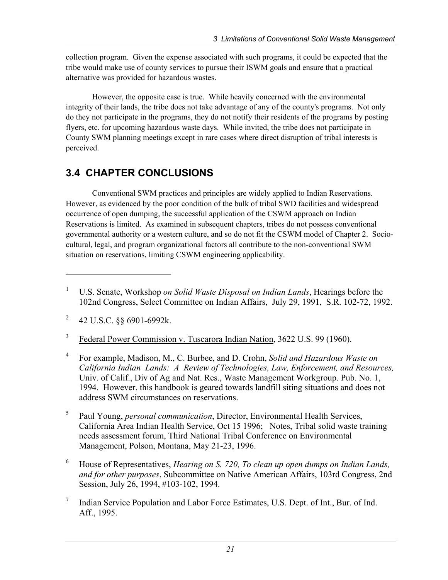collection program. Given the expense associated with such programs, it could be expected that the tribe would make use of county services to pursue their ISWM goals and ensure that a practical alternative was provided for hazardous wastes.

However, the opposite case is true. While heavily concerned with the environmental integrity of their lands, the tribe does not take advantage of any of the county's programs. Not only do they not participate in the programs, they do not notify their residents of the programs by posting flyers, etc. for upcoming hazardous waste days. While invited, the tribe does not participate in County SWM planning meetings except in rare cases where direct disruption of tribal interests is perceived.

# **3.4 CHAPTER CONCLUSIONS**

Conventional SWM practices and principles are widely applied to Indian Reservations. However, as evidenced by the poor condition of the bulk of tribal SWD facilities and widespread occurrence of open dumping, the successful application of the CSWM approach on Indian Reservations is limited. As examined in subsequent chapters, tribes do not possess conventional governmental authority or a western culture, and so do not fit the CSWM model of Chapter 2. Sociocultural, legal, and program organizational factors all contribute to the non-conventional SWM situation on reservations, limiting CSWM engineering applicability.

-

3 Federal Power Commission v. Tuscarora Indian Nation, 3622 U.S. 99 (1960).

- 4 For example, Madison, M., C. Burbee, and D. Crohn, *Solid and Hazardous Waste on California Indian Lands: A Review of Technologies, Law, Enforcement, and Resources,*  Univ. of Calif., Div of Ag and Nat. Res., Waste Management Workgroup. Pub. No. 1, 1994. However, this handbook is geared towards landfill siting situations and does not address SWM circumstances on reservations.
- 5 Paul Young, *personal communication*, Director, Environmental Health Services, California Area Indian Health Service, Oct 15 1996; Notes, Tribal solid waste training needs assessment forum, Third National Tribal Conference on Environmental Management, Polson, Montana, May 21-23, 1996.
- 6 House of Representatives, *Hearing on S. 720, To clean up open dumps on Indian Lands, and for other purposes*, Subcommittee on Native American Affairs, 103rd Congress, 2nd Session, July 26, 1994, #103-102, 1994.
- 7 Indian Service Population and Labor Force Estimates, U.S. Dept. of Int., Bur. of Ind. Aff., 1995.

<sup>1</sup> U.S. Senate, Workshop *on Solid Waste Disposal on Indian Lands*, Hearings before the 102nd Congress, Select Committee on Indian Affairs, July 29, 1991, S.R. 102-72, 1992.

<sup>2</sup> 42 U.S.C. §§ 6901-6992k.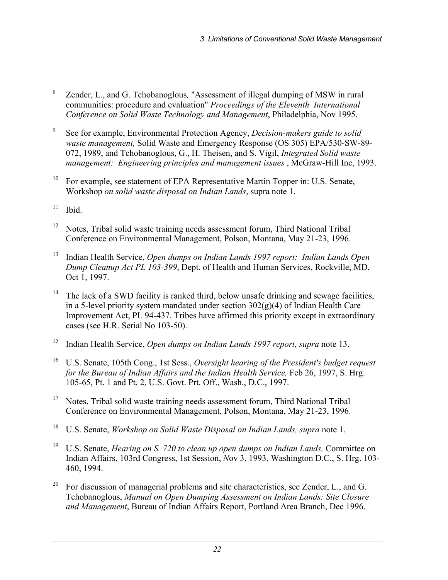- 8 Zender, L., and G. Tchobanoglous*,* "Assessment of illegal dumping of MSW in rural communities: procedure and evaluation" *Proceedings of the Eleventh International Conference on Solid Waste Technology and Management*, Philadelphia, Nov 1995.
- 9 See for example, Environmental Protection Agency, *Decision-makers guide to solid waste management,* Solid Waste and Emergency Response (OS 305) EPA/530-SW-89- 072, 1989, and Tchobanoglous, G., H. Theisen, and S. Vigil, *Integrated Solid waste management: Engineering principles and management issues* , McGraw-Hill Inc, 1993.
- <sup>10</sup> For example, see statement of EPA Representative Martin Topper in: U.S. Senate, Workshop *on solid waste disposal on Indian Lands*, supra note 1.
- $11$  Ibid.
- <sup>12</sup> Notes, Tribal solid waste training needs assessment forum, Third National Tribal Conference on Environmental Management, Polson, Montana, May 21-23, 1996.
- 13 Indian Health Service, *Open dumps on Indian Lands 1997 report: Indian Lands Open Dump Cleanup Act PL 103-399*, Dept. of Health and Human Services, Rockville, MD, Oct 1, 1997.
- <sup>14</sup> The lack of a SWD facility is ranked third, below unsafe drinking and sewage facilities, in a 5-level priority system mandated under section  $302(g)(4)$  of Indian Health Care Improvement Act, PL 94-437. Tribes have affirmed this priority except in extraordinary cases (see H.R. Serial No 103-50).
- 15 Indian Health Service, *Open dumps on Indian Lands 1997 report, supra* note 13.
- 16 U.S. Senate, 105th Cong., 1st Sess., *Oversight hearing of the President's budget request for the Bureau of Indian Affairs and the Indian Health Service,* Feb 26, 1997, S. Hrg. 105-65, Pt. 1 and Pt. 2, U.S. Govt. Prt. Off., Wash., D.C., 1997.
- <sup>17</sup> Notes, Tribal solid waste training needs assessment forum, Third National Tribal Conference on Environmental Management, Polson, Montana, May 21-23, 1996.
- 18 U.S. Senate, *Workshop on Solid Waste Disposal on Indian Lands, supra* note 1.
- <sup>19</sup> U.S. Senate, *Hearing on S. 720 to clean up open dumps on Indian Lands*, Committee on Indian Affairs, 103rd Congress, 1st Session, *N*ov 3, 1993, Washington D.C., S. Hrg. 103- 460, 1994.
- <sup>20</sup> For discussion of managerial problems and site characteristics, see Zender, L., and G. Tchobanoglous, *Manual on Open Dumping Assessment on Indian Lands: Site Closure and Management*, Bureau of Indian Affairs Report, Portland Area Branch, Dec 1996.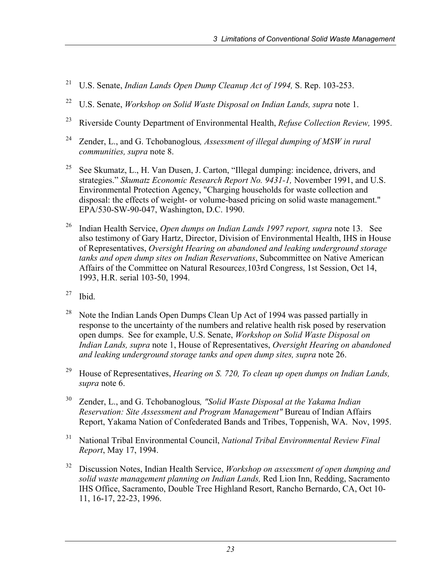- 21 U.S. Senate, *Indian Lands Open Dump Cleanup Act of 1994,* S. Rep. 103-253.
- <sup>22</sup> U.S. Senate, *Workshop on Solid Waste Disposal on Indian Lands, supra* note 1.
- 23 Riverside County Department of Environmental Health, *Refuse Collection Review,* 1995.
- 24 Zender, L., and G. Tchobanoglous*, Assessment of illegal dumping of MSW in rural communities, supra* note 8.
- <sup>25</sup> See Skumatz, L., H. Van Dusen, J. Carton, "Illegal dumping: incidence, drivers, and strategies." *Skumatz Economic Research Report No. 9431-1,* November 1991, and U.S. Environmental Protection Agency, "Charging households for waste collection and disposal: the effects of weight- or volume-based pricing on solid waste management." EPA/530-SW-90-047, Washington, D.C. 1990.
- 26 Indian Health Service, *Open dumps on Indian Lands 1997 report, supra* note 13. See also testimony of Gary Hartz, Director, Division of Environmental Health, IHS in House of Representatives, *Oversight Hearing on abandoned and leaking underground storage tanks and open dump sites on Indian Reservations*, Subcommittee on Native American Affairs of the Committee on Natural Resource*s,*103rd Congress, 1st Session, Oct 14, 1993, H.R. serial 103-50, 1994.
- $27$  Ibid.
- <sup>28</sup> Note the Indian Lands Open Dumps Clean Up Act of 1994 was passed partially in response to the uncertainty of the numbers and relative health risk posed by reservation open dumps. See for example, U.S. Senate, *Workshop on Solid Waste Disposal on Indian Lands, supra* note 1, House of Representatives, *Oversight Hearing on abandoned and leaking underground storage tanks and open dump sites, supra* note 26.
- <sup>29</sup> House of Representatives, *Hearing on S. 720, To clean up open dumps on Indian Lands, supra* note 6.
- 30 Zender, L., and G. Tchobanoglous*, "Solid Waste Disposal at the Yakama Indian Reservation: Site Assessment and Program Management"* Bureau of Indian Affairs Report, Yakama Nation of Confederated Bands and Tribes, Toppenish, WA. Nov, 1995.
- 31 National Tribal Environmental Council, *National Tribal Environmental Review Final Report*, May 17, 1994.
- 32 Discussion Notes, Indian Health Service, *Workshop on assessment of open dumping and solid waste management planning on Indian Lands,* Red Lion Inn, Redding, Sacramento IHS Office, Sacramento, Double Tree Highland Resort, Rancho Bernardo, CA, Oct 10- 11, 16-17, 22-23, 1996.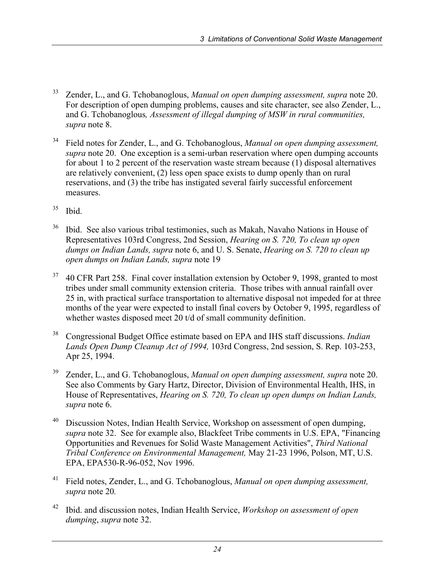- 33 Zender, L., and G. Tchobanoglous, *Manual on open dumping assessment, supra* note 20. For description of open dumping problems, causes and site character, see also Zender, L., and G. Tchobanoglous*, Assessment of illegal dumping of MSW in rural communities, supra* note 8.
- 34 Field notes for Zender, L., and G. Tchobanoglous, *Manual on open dumping assessment, supra* note 20. One exception is a semi-urban reservation where open dumping accounts for about 1 to 2 percent of the reservation waste stream because (1) disposal alternatives are relatively convenient, (2) less open space exists to dump openly than on rural reservations, and (3) the tribe has instigated several fairly successful enforcement measures.
- $35$  Ibid.
- 36 Ibid. See also various tribal testimonies, such as Makah, Navaho Nations in House of Representatives 103rd Congress, 2nd Session, *Hearing on S. 720, To clean up open dumps on Indian Lands, supra* note 6, and U. S. Senate, *Hearing on S. 720 to clean up open dumps on Indian Lands, supra* note 19
- <sup>37</sup> 40 CFR Part 258. Final cover installation extension by October 9, 1998, granted to most tribes under small community extension criteria. Those tribes with annual rainfall over 25 in, with practical surface transportation to alternative disposal not impeded for at three months of the year were expected to install final covers by October 9, 1995, regardless of whether wastes disposed meet 20 t/d of small community definition.
- 38 Congressional Budget Office estimate based on EPA and IHS staff discussions. *Indian Lands Open Dump Cleanup Act of 1994,* 103rd Congress, 2nd session, S. Rep. 103-253, Apr 25, 1994.
- 39 Zender, L., and G. Tchobanoglous, *Manual on open dumping assessment, supra* note 20. See also Comments by Gary Hartz, Director, Division of Environmental Health, IHS, in House of Representatives, *Hearing on S. 720, To clean up open dumps on Indian Lands, supra* note 6.
- 40 Discussion Notes, Indian Health Service, Workshop on assessment of open dumping, *supra* note 32. See for example also, Blackfeet Tribe comments in U.S. EPA, "Financing Opportunities and Revenues for Solid Waste Management Activities", *Third National Tribal Conference on Environmental Management,* May 21-23 1996, Polson, MT, U.S. EPA, EPA530-R-96-052, Nov 1996.
- 41 Field notes, Zender, L., and G. Tchobanoglous, *Manual on open dumping assessment, supra* note 20*.*
- 42 Ibid. and discussion notes, Indian Health Service, *Workshop on assessment of open dumping*, *supra* note 32.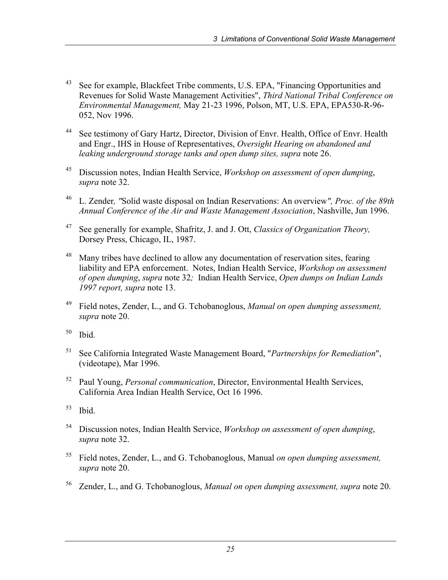- <sup>43</sup> See for example, Blackfeet Tribe comments, U.S. EPA, "Financing Opportunities and Revenues for Solid Waste Management Activities", *Third National Tribal Conference on Environmental Management,* May 21-23 1996, Polson, MT, U.S. EPA, EPA530-R-96- 052, Nov 1996.
- <sup>44</sup> See testimony of Gary Hartz, Director, Division of Envr. Health, Office of Envr. Health and Engr., IHS in House of Representatives, *Oversight Hearing on abandoned and leaking underground storage tanks and open dump sites, supra* note 26.
- 45 Discussion notes, Indian Health Service, *Workshop on assessment of open dumping*, *supra* note 32.
- 46 L. Zender*, "*Solid waste disposal on Indian Reservations: An overview*", Proc. of the 89th Annual Conference of the Air and Waste Management Association*, Nashville, Jun 1996.
- 47 See generally for example, Shafritz, J. and J. Ott, *Classics of Organization Theory,*  Dorsey Press, Chicago, IL, 1987.
- <sup>48</sup> Many tribes have declined to allow any documentation of reservation sites, fearing liability and EPA enforcement. Notes, Indian Health Service, *Workshop on assessment of open dumping*, *supra* note 32*;* Indian Health Service, *Open dumps on Indian Lands 1997 report, supra* note 13.
- 49 Field notes, Zender, L., and G. Tchobanoglous, *Manual on open dumping assessment, supra* note 20.
- $50$  Ibid.
- 51 See California Integrated Waste Management Board, "*Partnerships for Remediation*", (videotape), Mar 1996.
- 52 Paul Young, *Personal communication*, Director, Environmental Health Services, California Area Indian Health Service, Oct 16 1996.
- $53$  Ibid.
- 54 Discussion notes, Indian Health Service, *Workshop on assessment of open dumping*, *supra* note 32.
- 55 Field notes, Zender, L., and G. Tchobanoglous, Manual *on open dumping assessment, supra* note 20.
- 56 Zender, L., and G. Tchobanoglous, *Manual on open dumping assessment, supra* note 20.